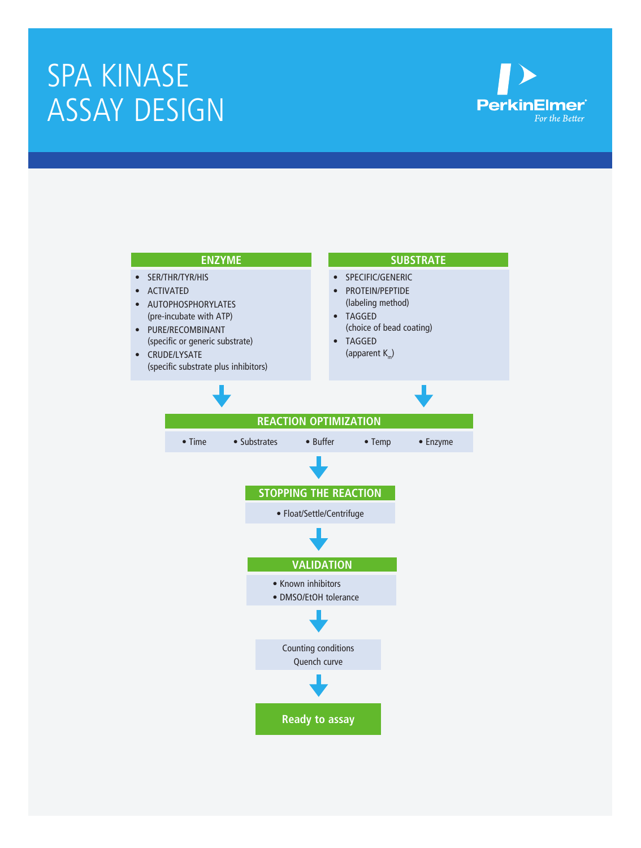# SPA KINASE ASSAY DESIGN